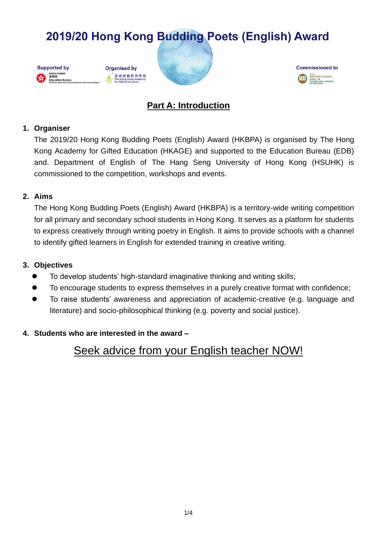





## **Part A: Introduction**

#### **1. Organiser**

The 2019/20 Hong Kong Budding Poets (English) Award (HKBPA) is organised by The Hong Kong Academy for Gifted Education (HKAGE) and supported to the Education Bureau (EDB) and. Department of English of The Hang Seng University of Hong Kong (HSUHK) is commissioned to the competition, workshops and events.

### **2. Aims**

The Hong Kong Budding Poets (English) Award (HKBPA) is a territory-wide writing competition for all primary and secondary school students in Hong Kong. It serves as a platform for students to express creatively through writing poetry in English. It aims to provide schools with a channel to identify gifted learners in English for extended training in creative writing.

### **3. Objectives**

- ⚫ To develop students' high-standard imaginative thinking and writing skills;
- ⚫ To encourage students to express themselves in a purely creative format with confidence;
- To raise students' awareness and appreciation of academic-creative (e.g. language and literature) and socio-philosophical thinking (e.g. poverty and social justice).

## **4. Students who are interested in the award –**

## Seek advice from your English teacher NOW!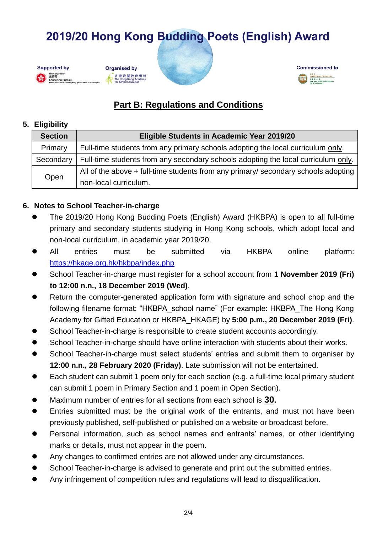

## **Organised by** 香港資優教育學苑<br>The Hong Kong Academy<br>for Gifted Education





## **Part B: Regulations and Conditions**

#### **5. Eligibility**

| <b>Section</b> | Eligible Students in Academic Year 2019/20                                           |
|----------------|--------------------------------------------------------------------------------------|
| Primary        | Full-time students from any primary schools adopting the local curriculum only.      |
| Secondary      | Full-time students from any secondary schools adopting the local curriculum only.    |
| Open           | All of the above $+$ full-time students from any primary/ secondary schools adopting |
|                | non-local curriculum.                                                                |

## **6. Notes to School Teacher-in-charge**

- ⚫ The 2019/20 Hong Kong Budding Poets (English) Award (HKBPA) is open to all full-time primary and secondary students studying in Hong Kong schools, which adopt local and non-local curriculum, in academic year 2019/20.
- ⚫ All entries must be submitted via HKBPA online platform: <https://hkage.org.hk/hkbpa/index.php>
- ⚫ School Teacher-in-charge must register for a school account from **1 November 2019 (Fri) to 12:00 n.n., 18 December 2019 (Wed)**.
- Return the computer-generated application form with signature and school chop and the following filename format: "HKBPA\_school name" (For example: HKBPA\_The Hong Kong Academy for Gifted Education or HKBPA\_HKAGE) by **5:00 p.m., 20 December 2019 (Fri)**.
- School Teacher-in-charge is responsible to create student accounts accordingly.
- School Teacher-in-charge should have online interaction with students about their works.
- ⚫ School Teacher-in-charge must select students' entries and submit them to organiser by **12:00 n.n., 28 February 2020 (Friday)**. Late submission will not be entertained.
- Each student can submit 1 poem only for each section (e.g. a full-time local primary student can submit 1 poem in Primary Section and 1 poem in Open Section).
- ⚫ Maximum number of entries for all sections from each school is **30.**
- Entries submitted must be the original work of the entrants, and must not have been previously published, self-published or published on a website or broadcast before.
- Personal information, such as school names and entrants' names, or other identifying marks or details, must not appear in the poem.
- ⚫ Any changes to confirmed entries are not allowed under any circumstances.
- School Teacher-in-charge is advised to generate and print out the submitted entries.
- ⚫ Any infringement of competition rules and regulations will lead to disqualification.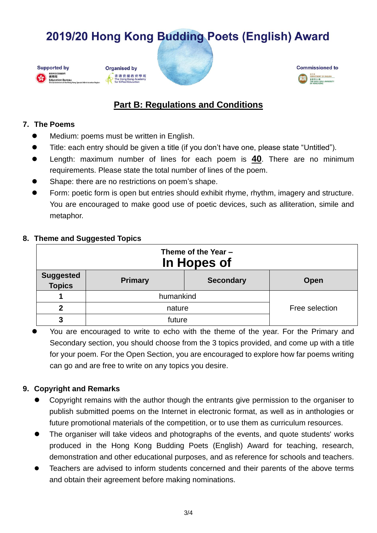







## **Part B: Regulations and Conditions**

#### **7. The Poems**

- Medium: poems must be written in English.
- ⚫ Title: each entry should be given a title (if you don't have one, please state "Untitled").
- ⚫ Length: maximum number of lines for each poem is **40**. There are no minimum requirements. Please state the total number of lines of the poem.
- Shape: there are no restrictions on poem's shape.
- ⚫ Form: poetic form is open but entries should exhibit rhyme, rhythm, imagery and structure. You are encouraged to make good use of poetic devices, such as alliteration, simile and metaphor.

### **8. Theme and Suggested Topics**

| Theme of the Year -<br>In Hopes of |                |                  |                |  |  |
|------------------------------------|----------------|------------------|----------------|--|--|
| <b>Suggested</b><br><b>Topics</b>  | <b>Primary</b> | <b>Secondary</b> | Open           |  |  |
|                                    | humankind      |                  |                |  |  |
| $\mathbf{2}$                       | nature         |                  | Free selection |  |  |
| 3                                  | future         |                  |                |  |  |

<sup>⚫</sup> You are encouraged to write to echo with the theme of the year. For the Primary and Secondary section, you should choose from the 3 topics provided, and come up with a title for your poem. For the Open Section, you are encouraged to explore how far poems writing can go and are free to write on any topics you desire.

## **9. Copyright and Remarks**

- ⚫ Copyright remains with the author though the entrants give permission to the organiser to publish submitted poems on the Internet in electronic format, as well as in anthologies or future promotional materials of the competition, or to use them as curriculum resources.
- The organiser will take videos and photographs of the events, and quote students' works produced in the Hong Kong Budding Poets (English) Award for teaching, research, demonstration and other educational purposes, and as reference for schools and teachers.
- Teachers are advised to inform students concerned and their parents of the above terms and obtain their agreement before making nominations.